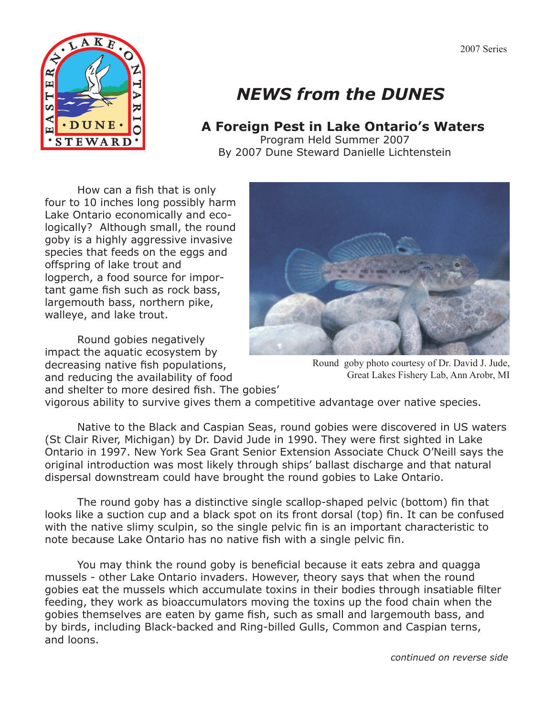

## *NEWS from the DUNES*

## **A Foreign Pest in Lake Ontario's Waters**

Program Held Summer 2007 By 2007 Dune Steward Danielle Lichtenstein

 How can a fish that is only four to 10 inches long possibly harm Lake Ontario economically and ecologically? Although small, the round goby is a highly aggressive invasive species that feeds on the eggs and offspring of lake trout and logperch, a food source for important game fish such as rock bass, largemouth bass, northern pike, walleye, and lake trout.

 Round gobies negatively impact the aquatic ecosystem by decreasing native fish populations, and reducing the availability of food and shelter to more desired fish. The gobies'



Round goby photo courtesy of Dr. David J. Jude, Great Lakes Fishery Lab, Ann Arobr, MI

vigorous ability to survive gives them a competitive advantage over native species.

 Native to the Black and Caspian Seas, round gobies were discovered in US waters (St Clair River, Michigan) by Dr. David Jude in 1990. They were first sighted in Lake Ontario in 1997. New York Sea Grant Senior Extension Associate Chuck O'Neill says the original introduction was most likely through ships' ballast discharge and that natural dispersal downstream could have brought the round gobies to Lake Ontario.

 The round goby has a distinctive single scallop-shaped pelvic (bottom) fin that looks like a suction cup and a black spot on its front dorsal (top) fin. It can be confused with the native slimy sculpin, so the single pelvic fin is an important characteristic to note because Lake Ontario has no native fish with a single pelvic fin.

 You may think the round goby is beneficial because it eats zebra and quagga mussels - other Lake Ontario invaders. However, theory says that when the round gobies eat the mussels which accumulate toxins in their bodies through insatiable filter feeding, they work as bioaccumulators moving the toxins up the food chain when the gobies themselves are eaten by game fish, such as small and largemouth bass, and by birds, including Black-backed and Ring-billed Gulls, Common and Caspian terns, and loons.